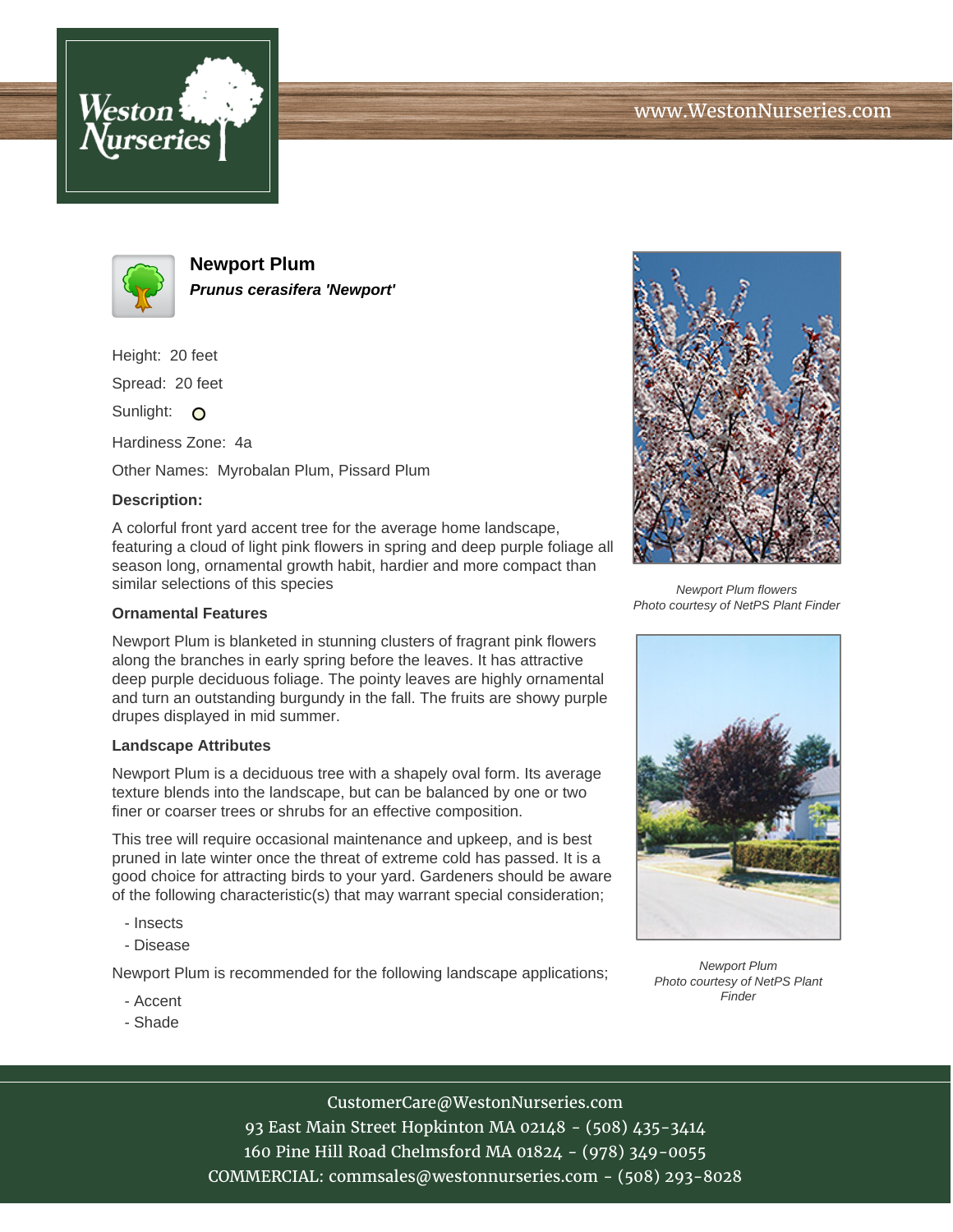



**Newport Plum Prunus cerasifera 'Newport'**

Height: 20 feet

Spread: 20 feet

Sunlight: O

Hardiness Zone: 4a

Other Names: Myrobalan Plum, Pissard Plum

# **Description:**

A colorful front yard accent tree for the average home landscape, featuring a cloud of light pink flowers in spring and deep purple foliage all season long, ornamental growth habit, hardier and more compact than similar selections of this species

### **Ornamental Features**

Newport Plum is blanketed in stunning clusters of fragrant pink flowers along the branches in early spring before the leaves. It has attractive deep purple deciduous foliage. The pointy leaves are highly ornamental and turn an outstanding burgundy in the fall. The fruits are showy purple drupes displayed in mid summer.

#### **Landscape Attributes**

Newport Plum is a deciduous tree with a shapely oval form. Its average texture blends into the landscape, but can be balanced by one or two finer or coarser trees or shrubs for an effective composition.

This tree will require occasional maintenance and upkeep, and is best pruned in late winter once the threat of extreme cold has passed. It is a good choice for attracting birds to your yard. Gardeners should be aware of the following characteristic(s) that may warrant special consideration;

- Insects
- Disease

Newport Plum is recommended for the following landscape applications;

- Accent
- Shade



Newport Plum flowers Photo courtesy of NetPS Plant Finder



Newport Plum Photo courtesy of NetPS Plant **Finder** 

# CustomerCare@WestonNurseries.com

93 East Main Street Hopkinton MA 02148 - (508) 435-3414 160 Pine Hill Road Chelmsford MA 01824 - (978) 349-0055 COMMERCIAL: commsales@westonnurseries.com - (508) 293-8028